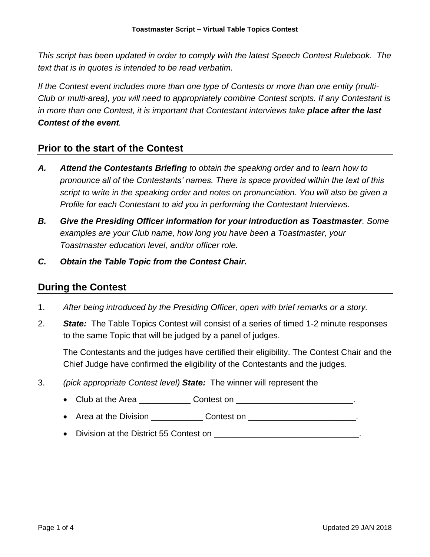*This script has been updated in order to comply with the latest Speech Contest Rulebook. The text that is in quotes is intended to be read verbatim.* 

*If the Contest event includes more than one type of Contests or more than one entity (multi-Club or multi-area), you will need to appropriately combine Contest scripts. If any Contestant is in more than one Contest, it is important that Contestant interviews take place after the last Contest of the event.*

## **Prior to the start of the Contest**

- *A. Attend the Contestants Briefing to obtain the speaking order and to learn how to pronounce all of the Contestants' names. There is space provided within the text of this script to write in the speaking order and notes on pronunciation. You will also be given a Profile for each Contestant to aid you in performing the Contestant Interviews.*
- *B. Give the Presiding Officer information for your introduction as Toastmaster. Some examples are your Club name, how long you have been a Toastmaster, your Toastmaster education level, and/or officer role.*
- *C. Obtain the Table Topic from the Contest Chair.*

## **During the Contest**

- 1. *After being introduced by the Presiding Officer, open with brief remarks or a story.*
- 2. *State:* The Table Topics Contest will consist of a series of timed 1-2 minute responses to the same Topic that will be judged by a panel of judges.

The Contestants and the judges have certified their eligibility. The Contest Chair and the Chief Judge have confirmed the eligibility of the Contestants and the judges.

- 3. *(pick appropriate Contest level) State:* The winner will represent the
	- Club at the Area **Contest on Contest on Contest on Contest on Contest on Contest on Contest on Contest on Contest on Contest on Contest on Contest on Contest on Contest on Contest on Contest**
	- Area at the Division Contest on Contest on Area at the Division Contest on Area Area at the Division
	- Division at the District 55 Contest on **Division**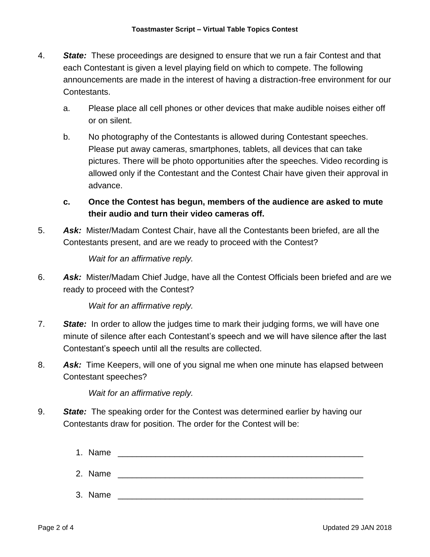- 4. *State:* These proceedings are designed to ensure that we run a fair Contest and that each Contestant is given a level playing field on which to compete. The following announcements are made in the interest of having a distraction-free environment for our Contestants.
	- a. Please place all cell phones or other devices that make audible noises either off or on silent.
	- b. No photography of the Contestants is allowed during Contestant speeches. Please put away cameras, smartphones, tablets, all devices that can take pictures. There will be photo opportunities after the speeches. Video recording is allowed only if the Contestant and the Contest Chair have given their approval in advance.
	- **c. Once the Contest has begun, members of the audience are asked to mute their audio and turn their video cameras off.**
- 5. *Ask:* Mister/Madam Contest Chair, have all the Contestants been briefed, are all the Contestants present, and are we ready to proceed with the Contest?

*Wait for an affirmative reply.*

6. *Ask:* Mister/Madam Chief Judge, have all the Contest Officials been briefed and are we ready to proceed with the Contest?

*Wait for an affirmative reply.*

- 7. *State:* In order to allow the judges time to mark their judging forms, we will have one minute of silence after each Contestant's speech and we will have silence after the last Contestant's speech until all the results are collected.
- 8. *Ask:* Time Keepers, will one of you signal me when one minute has elapsed between Contestant speeches?

*Wait for an affirmative reply.*

- 9. *State:* The speaking order for the Contest was determined earlier by having our Contestants draw for position. The order for the Contest will be:
	- 1. Name  $\blacksquare$
	- 2. Name \_\_\_\_\_\_\_\_\_\_\_\_\_\_\_\_\_\_\_\_\_\_\_\_\_\_\_\_\_\_\_\_\_\_\_\_\_\_\_\_\_\_\_\_\_\_\_\_\_\_\_\_
	- 3. Name \_\_\_\_\_\_\_\_\_\_\_\_\_\_\_\_\_\_\_\_\_\_\_\_\_\_\_\_\_\_\_\_\_\_\_\_\_\_\_\_\_\_\_\_\_\_\_\_\_\_\_\_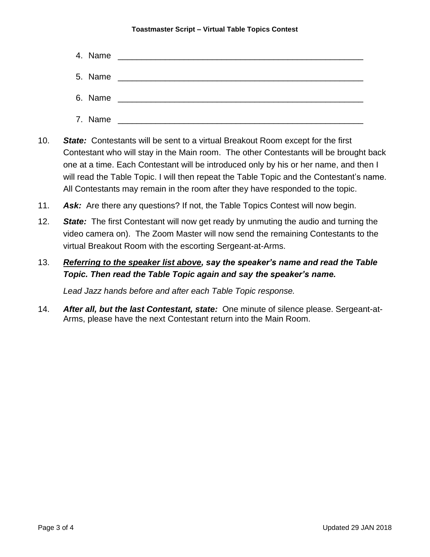## **Toastmaster Script – Virtual Table Topics Contest**

| 4. Name |                                                                 |
|---------|-----------------------------------------------------------------|
| 5. Name |                                                                 |
| 6. Name | <u> 1989 - Johann John Stein, mars and de British (b. 1989)</u> |
| 7. Name |                                                                 |

- 10. *State:* Contestants will be sent to a virtual Breakout Room except for the first Contestant who will stay in the Main room. The other Contestants will be brought back one at a time. Each Contestant will be introduced only by his or her name, and then I will read the Table Topic. I will then repeat the Table Topic and the Contestant's name. All Contestants may remain in the room after they have responded to the topic.
- 11. *Ask:* Are there any questions? If not, the Table Topics Contest will now begin.
- 12. *State:* The first Contestant will now get ready by unmuting the audio and turning the video camera on). The Zoom Master will now send the remaining Contestants to the virtual Breakout Room with the escorting Sergeant-at-Arms.

## 13. *Referring to the speaker list above, say the speaker's name and read the Table Topic. Then read the Table Topic again and say the speaker's name.*

*Lead Jazz hands before and after each Table Topic response.*

14. *After all, but the last Contestant, state:* One minute of silence please. Sergeant-at-Arms, please have the next Contestant return into the Main Room.